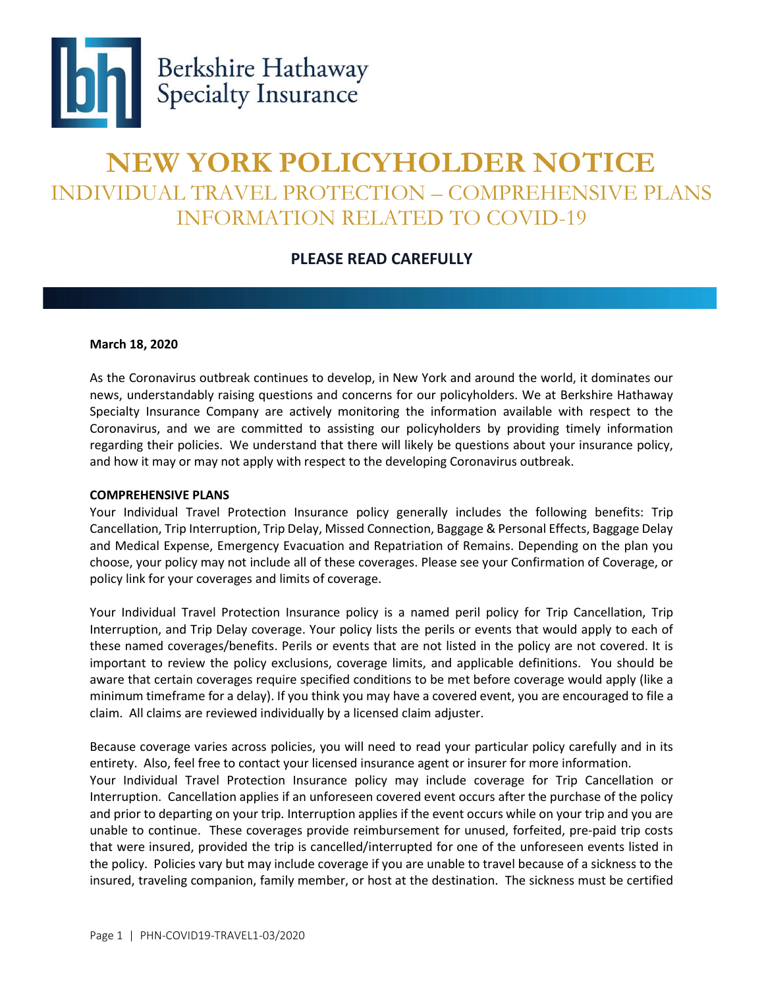

## NEW YORK POLICYHOLDER NOTICE INDIVIDUAL TRAVEL PROTECTION – COMPREHENSIVE PLANS INFORMATION RELATED TO COVID-19

## PLEASE READ CAREFULLY

## March 18, 2020

As the Coronavirus outbreak continues to develop, in New York and around the world, it dominates our news, understandably raising questions and concerns for our policyholders. We at Berkshire Hathaway Specialty Insurance Company are actively monitoring the information available with respect to the Coronavirus, and we are committed to assisting our policyholders by providing timely information regarding their policies. We understand that there will likely be questions about your insurance policy, and how it may or may not apply with respect to the developing Coronavirus outbreak.

## COMPREHENSIVE PLANS

Your Individual Travel Protection Insurance policy generally includes the following benefits: Trip Cancellation, Trip Interruption, Trip Delay, Missed Connection, Baggage & Personal Effects, Baggage Delay and Medical Expense, Emergency Evacuation and Repatriation of Remains. Depending on the plan you choose, your policy may not include all of these coverages. Please see your Confirmation of Coverage, or policy link for your coverages and limits of coverage.

Your Individual Travel Protection Insurance policy is a named peril policy for Trip Cancellation, Trip Interruption, and Trip Delay coverage. Your policy lists the perils or events that would apply to each of these named coverages/benefits. Perils or events that are not listed in the policy are not covered. It is important to review the policy exclusions, coverage limits, and applicable definitions. You should be aware that certain coverages require specified conditions to be met before coverage would apply (like a minimum timeframe for a delay). If you think you may have a covered event, you are encouraged to file a claim. All claims are reviewed individually by a licensed claim adjuster.

Because coverage varies across policies, you will need to read your particular policy carefully and in its entirety. Also, feel free to contact your licensed insurance agent or insurer for more information.

Your Individual Travel Protection Insurance policy may include coverage for Trip Cancellation or Interruption. Cancellation applies if an unforeseen covered event occurs after the purchase of the policy and prior to departing on your trip. Interruption applies if the event occurs while on your trip and you are unable to continue. These coverages provide reimbursement for unused, forfeited, pre-paid trip costs that were insured, provided the trip is cancelled/interrupted for one of the unforeseen events listed in the policy. Policies vary but may include coverage if you are unable to travel because of a sickness to the insured, traveling companion, family member, or host at the destination. The sickness must be certified